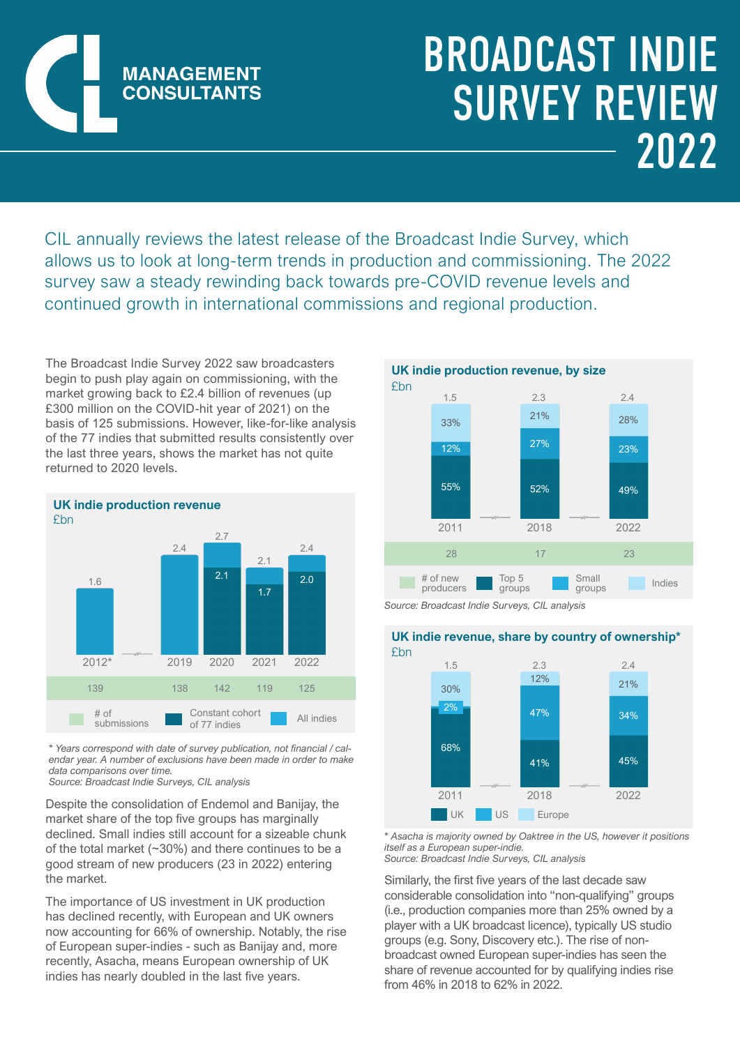

## BROADCAST INDIE SURVEY REVIEW 2022

CIL annually reviews the latest release of the Broadcast Indie Survey, which allows us to look at long-term trends in production and commissioning. The 2022 survey saw a steady rewinding back towards pre-COVID revenue levels and continued growth in international commissions and regional production.

The Broadcast Indie Survey 2022 saw broadcasters begin to push play again on commissioning, with the market growing back to £2.4 billion of revenues (up £300 million on the COVID-hit year of 2021) on the basis of 125 submissions. However, like-for-like analysis of the 77 indies that submitted results consistently over the last three years, shows the market has not quite returned to 2020 levels.



*\* Years correspond with date of survey publication, not financial / calendar year. A number of exclusions have been made in order to make data comparisons over time. Source: Broadcast Indie Surveys, CIL analysis*

Despite the consolidation of Endemol and Banijay, the market share of the top five groups has marginally declined. Small indies still account for a sizeable chunk of the total market (~30%) and there continues to be a good stream of new producers (23 in 2022) entering the market.

The importance of US investment in UK production has declined recently, with European and UK owners now accounting for 66% of ownership. Notably, the rise of European super-indies - such as Banijay and, more recently, Asacha, means European ownership of UK indies has nearly doubled in the last five years.



*Source: Broadcast Indie Surveys, CIL analysis*

**UK indie revenue, share by country of ownership\*** £bn



*\* Asacha is majority owned by Oaktree in the US, however it positions itself as a European super-indie.*

*Source: Broadcast Indie Surveys, CIL analysis*

Similarly, the first five years of the last decade saw considerable consolidation into "non-qualifying" groups (i.e., production companies more than 25% owned by a player with a UK broadcast licence), typically US studio groups (e.g. Sony, Discovery etc.). The rise of nonbroadcast owned European super-indies has seen the share of revenue accounted for by qualifying indies rise from 46% in 2018 to 62% in 2022.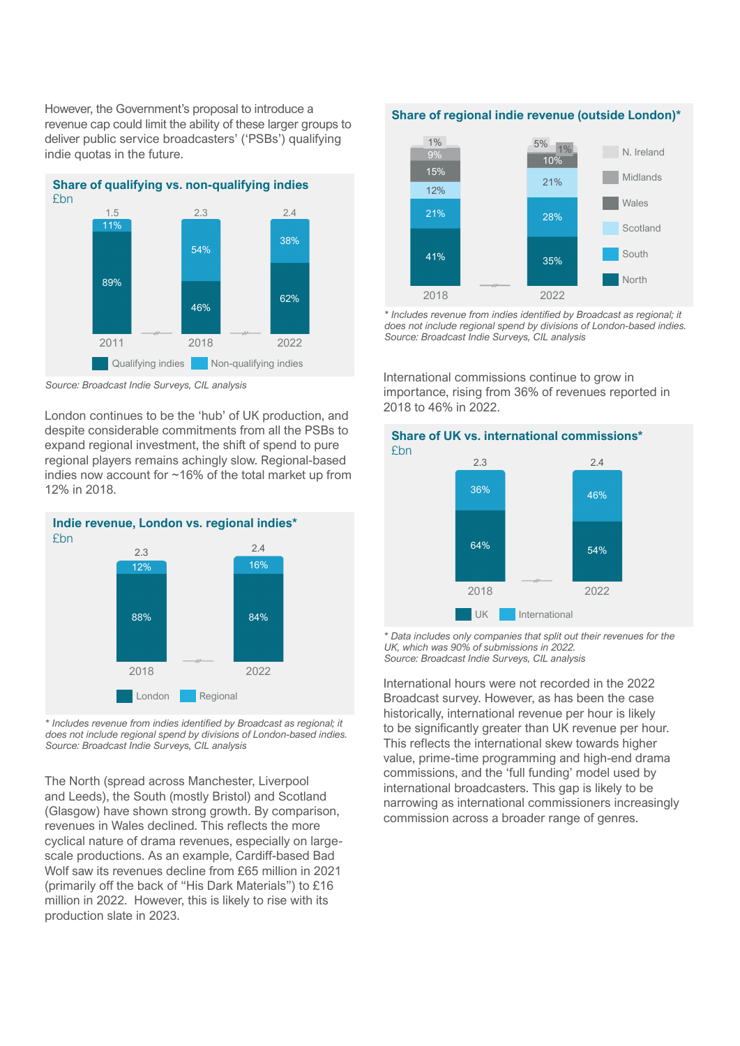However, the Government's proposal to introduce a revenue cap could limit the ability of these larger groups to deliver public service broadcasters' ('PSBs') qualifying indie quotas in the future.



*Source: Broadcast Indie Surveys, CIL analysis*

London continues to be the 'hub' of UK production, and despite considerable commitments from all the PSBs to expand regional investment, the shift of spend to pure regional players remains achingly slow. Regional-based indies now account for ~16% of the total market up from 12% in 2018.



*\* Includes revenue from indies identified by Broadcast as regional; it does not include regional spend by divisions of London-based indies. Source: Broadcast Indie Surveys, CIL analysis*

The North (spread across Manchester, Liverpool and Leeds), the South (mostly Bristol) and Scotland (Glasgow) have shown strong growth. By comparison, revenues in Wales declined. This reflects the more cyclical nature of drama revenues, especially on largescale productions. As an example, Cardiff-based Bad Wolf saw its revenues decline from £65 million in 2021 (primarily off the back of "His Dark Materials") to £16 million in 2022. However, this is likely to rise with its production slate in 2023.

## **Share of regional indie revenue (outside London)\***



*\* Includes revenue from indies identified by Broadcast as regional; it does not include regional spend by divisions of London-based indies. Source: Broadcast Indie Surveys, CIL analysis*

International commissions continue to grow in importance, rising from 36% of revenues reported in 2018 to 46% in 2022.



## **Share of UK vs. international commissions\*** £bn

*\* Data includes only companies that split out their revenues for the UK, which was 90% of submissions in 2022. Source: Broadcast Indie Surveys, CIL analysis*

International hours were not recorded in the 2022 Broadcast survey. However, as has been the case historically, international revenue per hour is likely to be significantly greater than UK revenue per hour. This reflects the international skew towards higher value, prime-time programming and high-end drama commissions, and the 'full funding' model used by international broadcasters. This gap is likely to be narrowing as international commissioners increasingly commission across a broader range of genres.